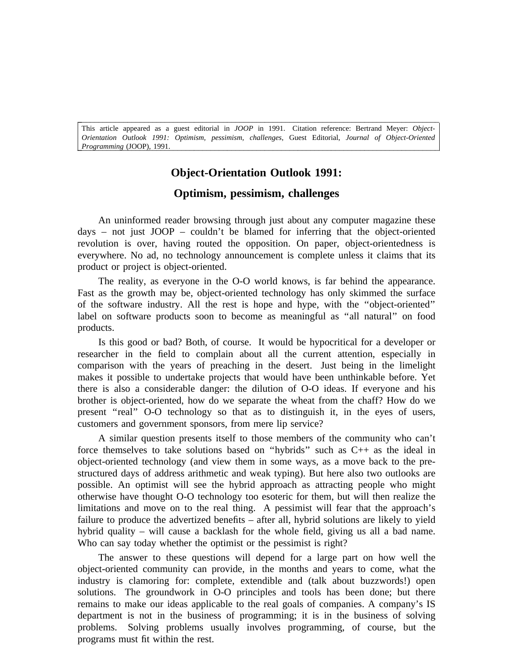*O rientation Outlook 1991: Optimism, pessimism, challenges*, Guest Editorial, *Journal of Object-Oriented* This article appeared as a guest editorial in *JOOP* in 1991. Citation reference: Bertrand Meyer: *Object-*\_\_\_\_\_\_\_\_\_\_\_\_\_\_\_\_\_\_\_\_\_\_\_\_\_\_\_\_\_\_\_\_\_\_\_\_\_\_\_\_\_\_\_\_\_\_\_\_\_\_\_\_\_\_\_\_\_\_\_\_\_\_\_\_\_\_\_\_\_\_\_\_\_\_\_\_\_\_\_\_\_\_\_\_\_\_\_ *Programming* (JOOP), 1991.

\_\_\_\_\_\_\_\_\_\_\_\_\_\_\_\_\_\_\_\_\_\_\_\_\_\_\_\_\_\_\_\_\_\_\_\_\_\_\_\_\_\_\_\_\_\_\_\_\_\_\_\_\_\_\_\_\_\_\_\_\_\_\_\_\_\_\_\_\_\_\_\_\_\_\_\_\_\_\_\_\_\_\_\_\_\_\_

## **Object-Orientation Outlook 1991:**

## **Optimism, pessimism, challenges**

An uninformed reader browsing through just about any computer magazine these d ays – not just JOOP – couldn't be blamed for inferring that the object-oriented revolution is over, having routed the opposition. On paper, object-orientedness is e verywhere. No ad, no technology announcement is complete unless it claims that its product or project is object-oriented.

The reality, as everyone in the O-O world knows, is far behind the appearance. o f the software industry. All the rest is hope and hype, with the ''object-oriented'' Fast as the growth may be, object-oriented technology has only skimmed the surface p roducts. label on software products soon to become as meaningful as ''all natural'' on food

Is this good or bad? Both, of course. It would be hypocritical for a developer or c omparison with the years of preaching in the desert. Just being in the limelight researcher in the field to complain about all the current attention, especially in makes it possible to undertake projects that would have been unthinkable before. Yet t here is also a considerable danger: the dilution of O-O ideas. If everyone and his present "real" O-O technology so that as to distinguish it, in the eyes of users, brother is object-oriented, how do we separate the wheat from the chaff? How do we customers and government sponsors, from mere lip service?

A similar question presents itself to those members of the community who can't o bject-oriented technology (and view them in some ways, as a move back to the preforce themselves to take solutions based on ''hybrids'' such as C++ as the ideal in p ossible. An optimist will see the hybrid approach as attracting people who might structured days of address arithmetic and weak typing). But here also two outlooks are l imitations and move on to the real thing. A pessimist will fear that the approach's otherwise have thought O-O technology too esoteric for them, but will then realize the h ybrid quality – will cause a backlash for the whole field, giving us all a bad name. failure to produce the advertized benefits – after all, hybrid solutions are likely to yield Who can say today whether the optimist or the pessimist is right?

The answer to these questions will depend for a large part on how well the object-oriented community can provide, in the months and years to come, what the i ndustry is clamoring for: complete, extendible and (talk about buzzwords!) open solutions. The groundwork in O-O principles and tools has been done; but there r emains to make our ideas applicable to the real goals of companies. A company's IS department is not in the business of programming; it is in the business of solving p roblems. Solving problems usually involves programming, of course, but the programs must fit within the rest.